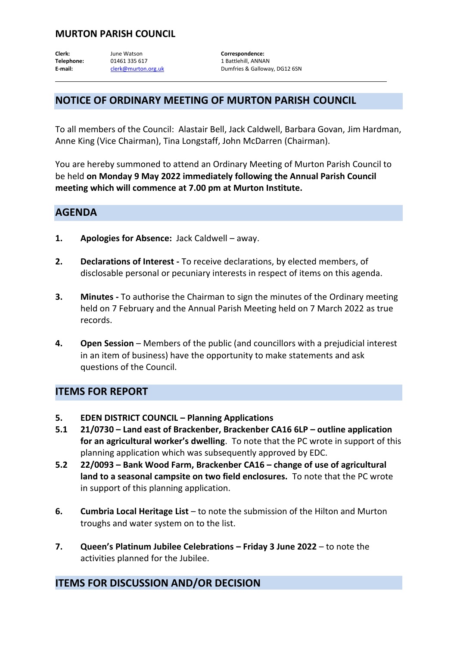## **MURTON PARISH COUNCIL**

**Clerk:** June Watson **Correspondence: Telephone:** 01461 335 617 1 Battlehill, ANNAN

E-mail: [clerk@murton.org.uk](mailto:clerk@murton.org.uk) Dumfries & Galloway, DG12 6SN

# **NOTICE OF ORDINARY MEETING OF MURTON PARISH COUNCIL**

To all members of the Council: Alastair Bell, Jack Caldwell, Barbara Govan, Jim Hardman, Anne King (Vice Chairman), Tina Longstaff, John McDarren (Chairman).

You are hereby summoned to attend an Ordinary Meeting of Murton Parish Council to be held **on Monday 9 May 2022 immediately following the Annual Parish Council meeting which will commence at 7.00 pm at Murton Institute.**

## **AGENDA**

- **1. Apologies for Absence:** Jack Caldwell away.
- **2. Declarations of Interest -** To receive declarations, by elected members, of disclosable personal or pecuniary interests in respect of items on this agenda.
- **3. Minutes -** To authorise the Chairman to sign the minutes of the Ordinary meeting held on 7 February and the Annual Parish Meeting held on 7 March 2022 as true records.
- **4. Open Session** Members of the public (and councillors with a prejudicial interest in an item of business) have the opportunity to make statements and ask questions of the Council.

## **ITEMS FOR REPORT**

- **5. EDEN DISTRICT COUNCIL – Planning Applications**
- **5.1 21/0730 – Land east of Brackenber, Brackenber CA16 6LP – outline application for an agricultural worker's dwelling**. To note that the PC wrote in support of this planning application which was subsequently approved by EDC.
- **5.2 22/0093 – Bank Wood Farm, Brackenber CA16 – change of use of agricultural land to a seasonal campsite on two field enclosures.** To note that the PC wrote in support of this planning application.
- **6. Cumbria Local Heritage List** to note the submission of the Hilton and Murton troughs and water system on to the list.
- **7. Queen's Platinum Jubilee Celebrations – Friday 3 June 2022** to note the activities planned for the Jubilee.

# **ITEMS FOR DISCUSSION AND/OR DECISION**